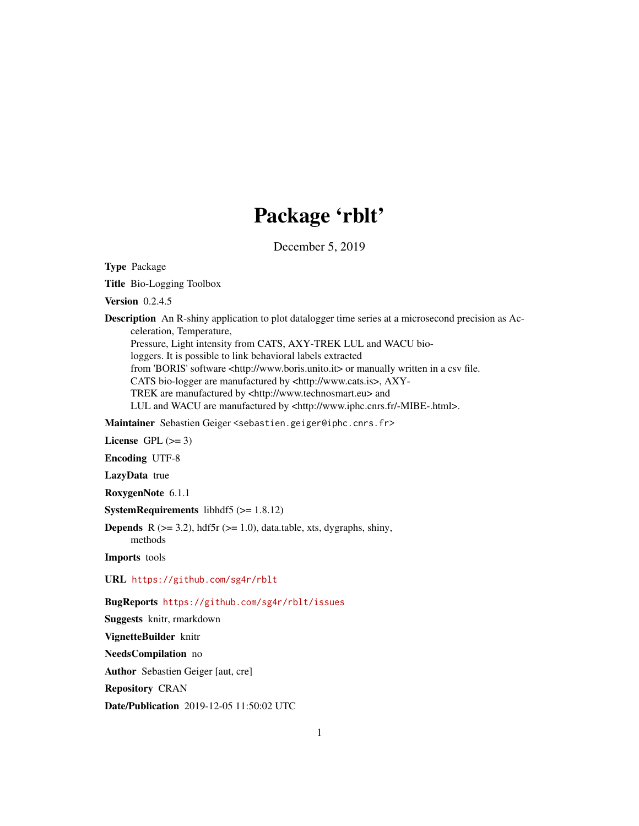# Package 'rblt'

December 5, 2019

Type Package

Title Bio-Logging Toolbox

Version 0.2.4.5

Description An R-shiny application to plot datalogger time series at a microsecond precision as Acceleration, Temperature,

Pressure, Light intensity from CATS, AXY-TREK LUL and WACU bio-

loggers. It is possible to link behavioral labels extracted

from 'BORIS' software <http://www.boris.unito.it> or manually written in a csv file.

CATS bio-logger are manufactured by <http://www.cats.is>, AXY-

TREK are manufactured by <http://www.technosmart.eu> and

LUL and WACU are manufactured by <http://www.iphc.cnrs.fr/-MIBE-.html>.

Maintainer Sebastien Geiger <sebastien.geiger@iphc.cnrs.fr>

License GPL  $(>= 3)$ 

Encoding UTF-8

LazyData true

RoxygenNote 6.1.1

SystemRequirements libhdf5 (>= 1.8.12)

**Depends** R ( $>= 3.2$ ), hdf5r ( $>= 1.0$ ), data.table, xts, dygraphs, shiny, methods

Imports tools

URL <https://github.com/sg4r/rblt>

BugReports <https://github.com/sg4r/rblt/issues>

Suggests knitr, rmarkdown VignetteBuilder knitr NeedsCompilation no Author Sebastien Geiger [aut, cre] Repository CRAN Date/Publication 2019-12-05 11:50:02 UTC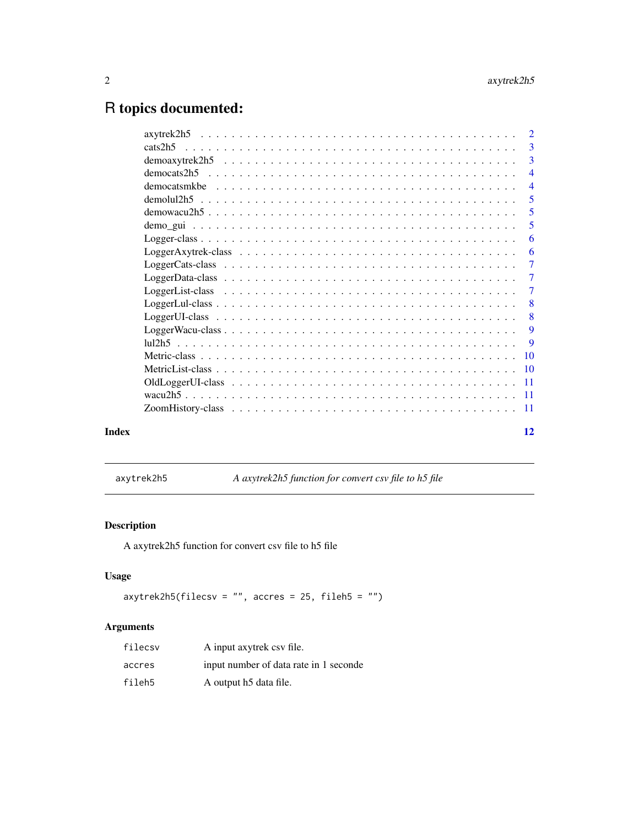## <span id="page-1-0"></span>R topics documented:

|       | $\overline{\phantom{a}}$  |
|-------|---------------------------|
|       |                           |
|       | $\overline{4}$            |
|       | $\overline{4}$            |
|       | 5                         |
|       | 5                         |
|       | 5                         |
|       | 6                         |
|       | 6                         |
|       | $\overline{7}$            |
|       | $\overline{7}$            |
|       | $\overline{7}$            |
|       | $\overline{\mathbf{8}}$   |
|       | $\overline{\phantom{0}}8$ |
|       | 9                         |
|       | 9                         |
|       |                           |
|       |                           |
|       |                           |
|       |                           |
|       |                           |
| Index | 12                        |

axytrek2h5 *A axytrek2h5 function for convert csv file to h5 file*

#### Description

A axytrek2h5 function for convert csv file to h5 file

#### Usage

```
axytrek2h5(filecsv = "", accres = 25, fileh5 = "")
```

| filecsy | A input axytrek csy file.              |
|---------|----------------------------------------|
| accres  | input number of data rate in 1 seconde |
| fileh5  | A output h5 data file.                 |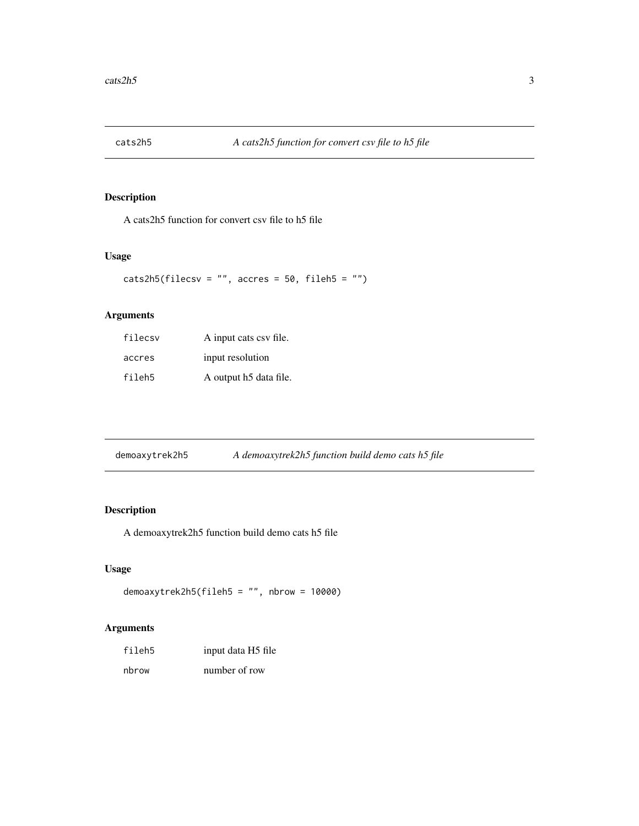<span id="page-2-0"></span>

A cats2h5 function for convert csv file to h5 file

#### Usage

```
\text{cats2h5(filecsv} = "", \text{ acres} = 50, \text{fileh5} = "")
```
#### Arguments

| filecsy | A input cats csv file. |
|---------|------------------------|
| accres  | input resolution       |
| fileh5  | A output h5 data file. |

| demoaxytrek2h5 | A demoaxytrek2h5 function build demo cats h5 file |  |
|----------------|---------------------------------------------------|--|
|                |                                                   |  |

### Description

A demoaxytrek2h5 function build demo cats h5 file

#### Usage

```
demoaxytrek2h5(fileh5 = "", nbrow = 10000)
```

| fileh5 | input data H5 file |
|--------|--------------------|
| nbrow  | number of row      |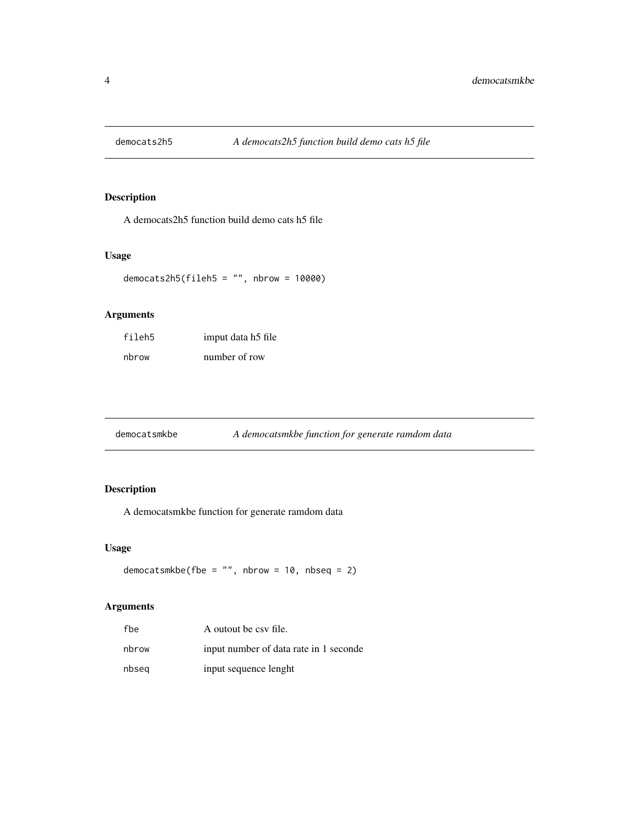<span id="page-3-0"></span>

A democats2h5 function build demo cats h5 file

#### Usage

democats2h5(fileh5 =  $"$ , nbrow = 10000)

#### Arguments

| fileh5 | imput data h5 file |
|--------|--------------------|
| nbrow  | number of row      |

#### Description

A democatsmkbe function for generate ramdom data

#### Usage

```
democatsmkbe(fbe = "", nbrow = 10, nbseq = 2)
```

| fbe   | A outout be csy file.                  |
|-------|----------------------------------------|
| nbrow | input number of data rate in 1 seconde |
| nbseg | input sequence lenght                  |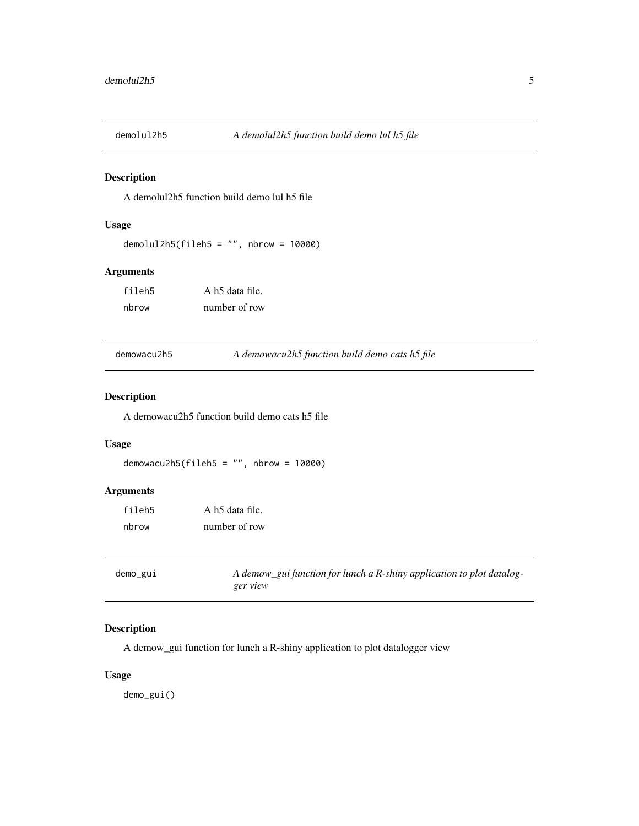<span id="page-4-0"></span>

A demolul2h5 function build demo lul h5 file

#### Usage

```
demolul2h5(fileh5 = "", nbrow = 10000)
```
#### Arguments

fileh5 A h5 data file. nbrow number of row

demowacu2h5 *A demowacu2h5 function build demo cats h5 file*

#### Description

A demowacu2h5 function build demo cats h5 file

#### Usage

```
demowacu2h5(fileh5 = ", nbrow = 10000)
```
#### Arguments

| fileh5 | A h5 data file. |
|--------|-----------------|
| nbrow  | number of row   |

| demo_gui | A demow_gui function for lunch a R-shiny application to plot datalog- |
|----------|-----------------------------------------------------------------------|
|          | ger view                                                              |

#### Description

A demow\_gui function for lunch a R-shiny application to plot datalogger view

#### Usage

demo\_gui()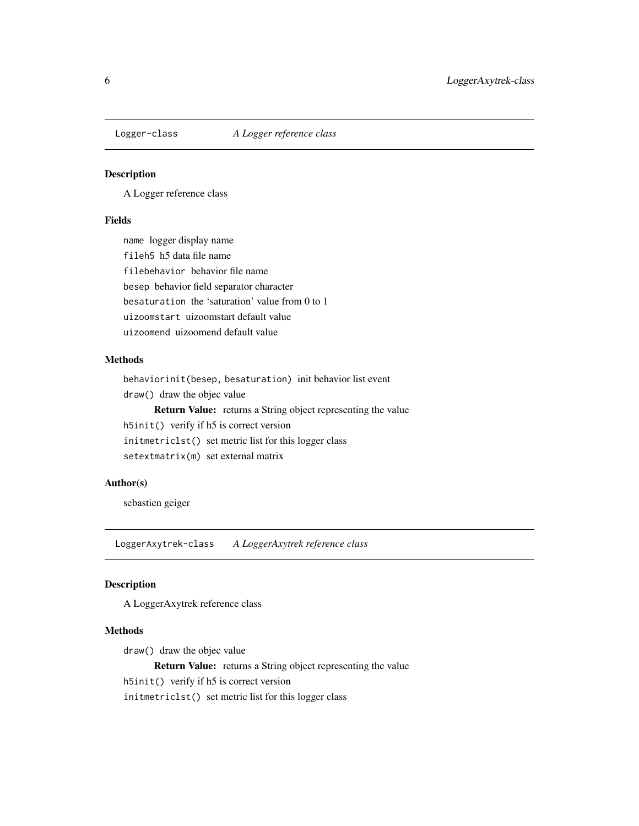<span id="page-5-0"></span>

A Logger reference class

#### Fields

name logger display name fileh5 h5 data file name filebehavior behavior file name besep behavior field separator character besaturation the 'saturation' value from 0 to 1 uizoomstart uizoomstart default value uizoomend uizoomend default value

#### Methods

behaviorinit(besep, besaturation) init behavior list event draw() draw the objec value Return Value: returns a String object representing the value h5init() verify if h5 is correct version initmetriclst() set metric list for this logger class setextmatrix(m) set external matrix

#### Author(s)

sebastien geiger

LoggerAxytrek-class *A LoggerAxytrek reference class*

#### Description

A LoggerAxytrek reference class

#### Methods

draw() draw the objec value Return Value: returns a String object representing the value h5init() verify if h5 is correct version initmetriclst() set metric list for this logger class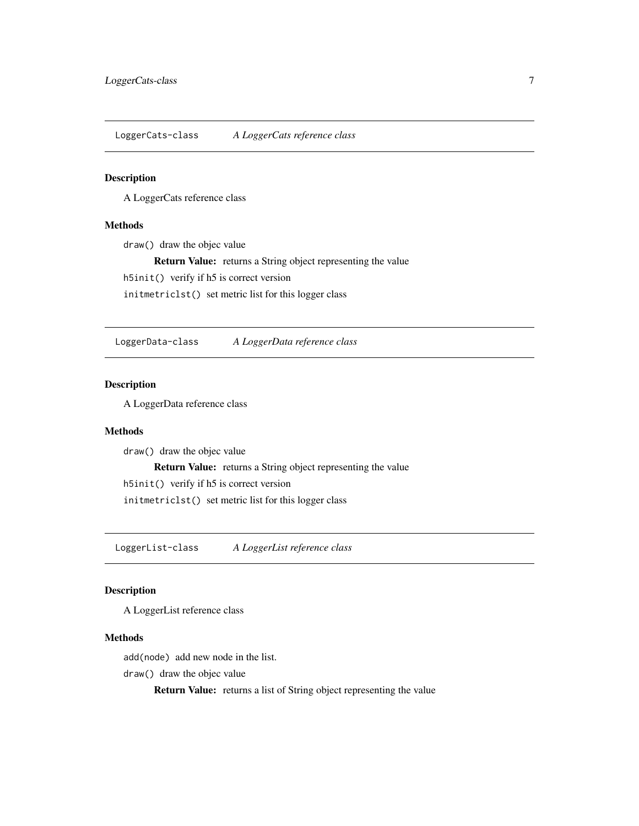<span id="page-6-0"></span>LoggerCats-class *A LoggerCats reference class*

#### Description

A LoggerCats reference class

#### Methods

draw() draw the objec value

Return Value: returns a String object representing the value

h5init() verify if h5 is correct version

initmetriclst() set metric list for this logger class

LoggerData-class *A LoggerData reference class*

#### Description

A LoggerData reference class

#### Methods

draw() draw the objec value Return Value: returns a String object representing the value h5init() verify if h5 is correct version initmetriclst() set metric list for this logger class

LoggerList-class *A LoggerList reference class*

#### Description

A LoggerList reference class

#### Methods

add(node) add new node in the list.

draw() draw the objec value

Return Value: returns a list of String object representing the value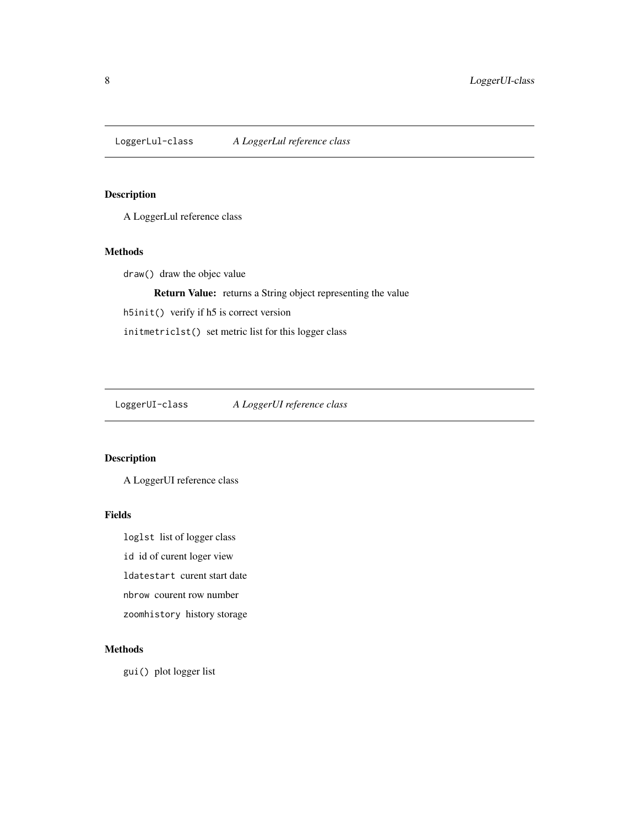<span id="page-7-0"></span>LoggerLul-class *A LoggerLul reference class*

#### Description

A LoggerLul reference class

#### Methods

draw() draw the objec value

Return Value: returns a String object representing the value

h5init() verify if h5 is correct version

initmetriclst() set metric list for this logger class

LoggerUI-class *A LoggerUI reference class*

#### Description

A LoggerUI reference class

#### Fields

loglst list of logger class

id id of curent loger view

ldatestart curent start date

nbrow courent row number

zoomhistory history storage

#### Methods

gui() plot logger list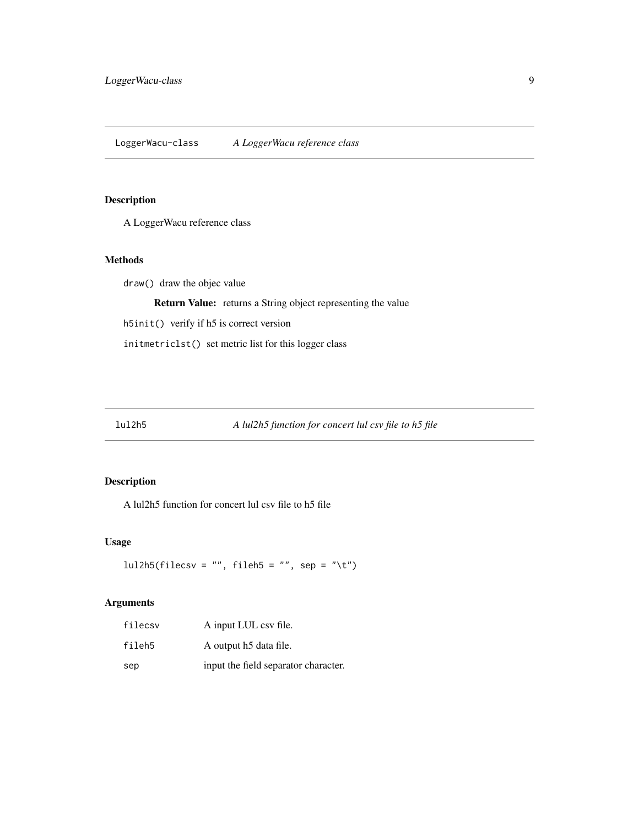<span id="page-8-0"></span>LoggerWacu-class *A LoggerWacu reference class*

#### Description

A LoggerWacu reference class

#### Methods

draw() draw the objec value

Return Value: returns a String object representing the value

h5init() verify if h5 is correct version

initmetriclst() set metric list for this logger class

#### Description

A lul2h5 function for concert lul csv file to h5 file

#### Usage

```
lul2h5(filecsv = "", fileh5 = "", sep = "\t")
```

| filecsy | A input LUL csv file.                |
|---------|--------------------------------------|
| fileh5  | A output h5 data file.               |
| sep     | input the field separator character. |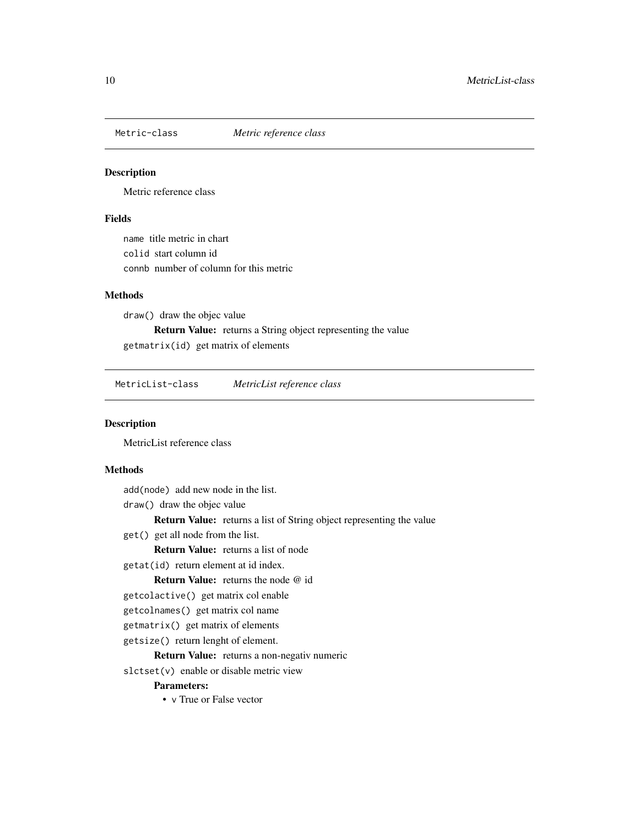<span id="page-9-0"></span>

Metric reference class

#### Fields

name title metric in chart colid start column id connb number of column for this metric

#### **Methods**

draw() draw the objec value Return Value: returns a String object representing the value getmatrix(id) get matrix of elements

MetricList-class *MetricList reference class*

#### Description

MetricList reference class

#### Methods

- add(node) add new node in the list.
- draw() draw the objec value

Return Value: returns a list of String object representing the value

get() get all node from the list.

Return Value: returns a list of node

getat(id) return element at id index.

Return Value: returns the node @ id

- getcolactive() get matrix col enable
- getcolnames() get matrix col name
- getmatrix() get matrix of elements
- getsize() return lenght of element.

Return Value: returns a non-negativ numeric

slctset(v) enable or disable metric view

#### Parameters:

• v True or False vector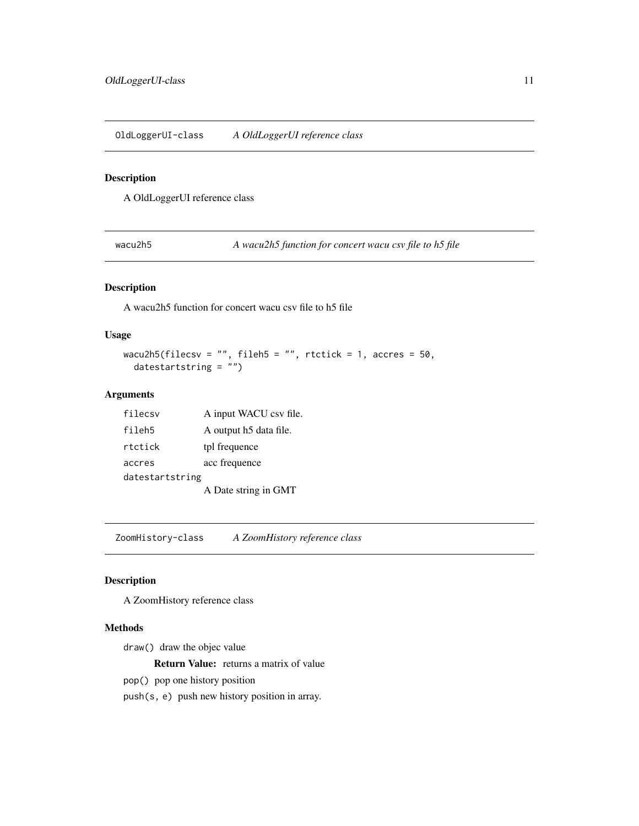<span id="page-10-0"></span>OldLoggerUI-class *A OldLoggerUI reference class*

#### Description

A OldLoggerUI reference class

wacu2h5 *A wacu2h5 function for concert wacu csv file to h5 file*

#### Description

A wacu2h5 function for concert wacu csv file to h5 file

#### Usage

```
wacu2h5(filecsv = "", fileh5 = "", rtctick = 1, accres = 50,
 datestartstring = "")
```
#### Arguments

| filecsv         | A input WACU csv file. |
|-----------------|------------------------|
| fileh5          | A output h5 data file. |
| rtctick         | tpl frequence          |
| accres          | acc frequence          |
| datestartstring |                        |
|                 | A Date string in GMT   |

ZoomHistory-class *A ZoomHistory reference class*

#### Description

A ZoomHistory reference class

#### Methods

draw() draw the objec value

Return Value: returns a matrix of value

pop() pop one history position

push(s, e) push new history position in array.